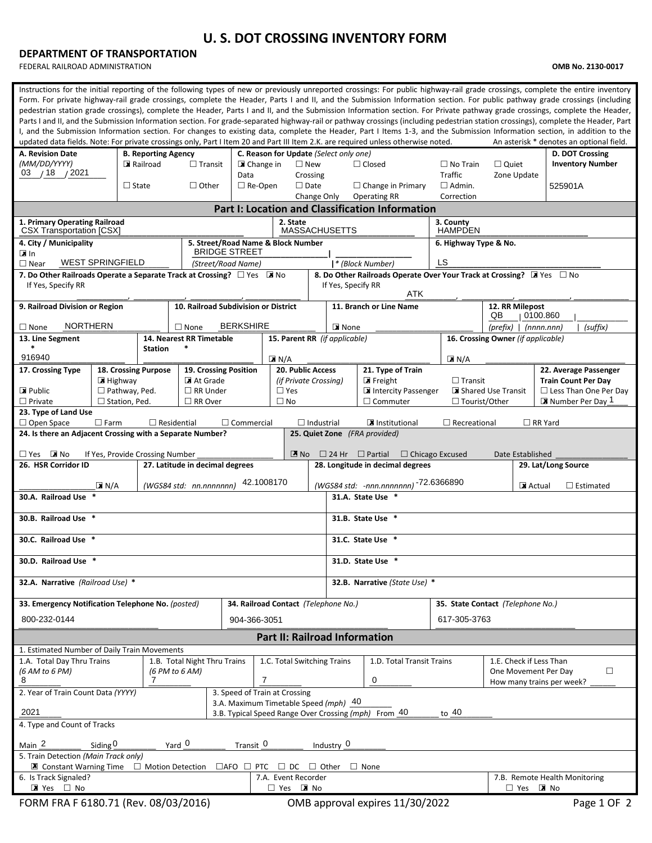## **U. S. DOT CROSSING INVENTORY FORM**

## **DEPARTMENT OF TRANSPORTATION**

FEDERAL RAILROAD ADMINISTRATION **OMB No. 2130-0017**

| Instructions for the initial reporting of the following types of new or previously unreported crossings: For public highway-rail grade crossings, complete the entire inventory<br>Form. For private highway-rail grade crossings, complete the Header, Parts I and II, and the Submission Information section. For public pathway grade crossings (including<br>pedestrian station grade crossings), complete the Header, Parts I and II, and the Submission Information section. For Private pathway grade crossings, complete the Header,<br>Parts I and II, and the Submission Information section. For grade-separated highway-rail or pathway crossings (including pedestrian station crossings), complete the Header, Part<br>I, and the Submission Information section. For changes to existing data, complete the Header, Part I Items 1-3, and the Submission Information section, in addition to the<br>updated data fields. Note: For private crossings only, Part I Item 20 and Part III Item 2.K. are required unless otherwise noted.<br>An asterisk * denotes an optional field. |                                                                                                                         |                                    |                                        |                                            |                                    |                       |                                                                                   |                                                                        |                          |                                                                                  |                               |  |  |  |  |  |  |
|--------------------------------------------------------------------------------------------------------------------------------------------------------------------------------------------------------------------------------------------------------------------------------------------------------------------------------------------------------------------------------------------------------------------------------------------------------------------------------------------------------------------------------------------------------------------------------------------------------------------------------------------------------------------------------------------------------------------------------------------------------------------------------------------------------------------------------------------------------------------------------------------------------------------------------------------------------------------------------------------------------------------------------------------------------------------------------------------------|-------------------------------------------------------------------------------------------------------------------------|------------------------------------|----------------------------------------|--------------------------------------------|------------------------------------|-----------------------|-----------------------------------------------------------------------------------|------------------------------------------------------------------------|--------------------------|----------------------------------------------------------------------------------|-------------------------------|--|--|--|--|--|--|
| A. Revision Date<br>(MM/DD/YYYY)                                                                                                                                                                                                                                                                                                                                                                                                                                                                                                                                                                                                                                                                                                                                                                                                                                                                                                                                                                                                                                                                 | <b>B. Reporting Agency</b>                                                                                              |                                    | C. Reason for Update (Select only one) | $\square$ New                              |                                    | $\Box$ Closed         | $\Box$ No Train                                                                   |                                                                        | D. DOT Crossing          |                                                                                  |                               |  |  |  |  |  |  |
| Railroad<br>$03$ / 18 / 2021                                                                                                                                                                                                                                                                                                                                                                                                                                                                                                                                                                                                                                                                                                                                                                                                                                                                                                                                                                                                                                                                     |                                                                                                                         |                                    |                                        | $\Box$ Transit<br>■ Change in<br>Data      |                                    |                       | Crossing                                                                          |                                                                        | <b>Traffic</b>           | $\Box$ Quiet<br>Zone Update                                                      | <b>Inventory Number</b>       |  |  |  |  |  |  |
| $\Box$ State                                                                                                                                                                                                                                                                                                                                                                                                                                                                                                                                                                                                                                                                                                                                                                                                                                                                                                                                                                                                                                                                                     |                                                                                                                         |                                    | $\Box$ Other                           | $\Box$ Re-Open                             |                                    |                       |                                                                                   | $\Box$ Change in Primary                                               | $\Box$ Admin.            |                                                                                  | 525901A                       |  |  |  |  |  |  |
|                                                                                                                                                                                                                                                                                                                                                                                                                                                                                                                                                                                                                                                                                                                                                                                                                                                                                                                                                                                                                                                                                                  |                                                                                                                         |                                    |                                        |                                            |                                    | Change Only           |                                                                                   | <b>Operating RR</b><br>Part I: Location and Classification Information | Correction               |                                                                                  |                               |  |  |  |  |  |  |
| 1. Primary Operating Railroad                                                                                                                                                                                                                                                                                                                                                                                                                                                                                                                                                                                                                                                                                                                                                                                                                                                                                                                                                                                                                                                                    |                                                                                                                         |                                    |                                        | 2. State                                   | <b>MASSACHUSETTS</b>               |                       |                                                                                   | 3. County                                                              |                          |                                                                                  |                               |  |  |  |  |  |  |
| <b>CSX Transportation [CSX]</b><br>4. City / Municipality                                                                                                                                                                                                                                                                                                                                                                                                                                                                                                                                                                                                                                                                                                                                                                                                                                                                                                                                                                                                                                        |                                                                                                                         | 5. Street/Road Name & Block Number |                                        |                                            |                                    |                       | <b>HAMPDEN</b><br>6. Highway Type & No.                                           |                                                                        |                          |                                                                                  |                               |  |  |  |  |  |  |
| l⊠In<br>$\Box$ Near                                                                                                                                                                                                                                                                                                                                                                                                                                                                                                                                                                                                                                                                                                                                                                                                                                                                                                                                                                                                                                                                              | <b>WEST SPRINGFIELD</b>                                                                                                 |                                    |                                        | <b>BRIDGE STREET</b><br>(Street/Road Name) |                                    |                       |                                                                                   | * (Block Number)                                                       | LS                       |                                                                                  |                               |  |  |  |  |  |  |
| 7. Do Other Railroads Operate a Separate Track at Crossing? $\Box$ Yes MINO<br>8. Do Other Railroads Operate Over Your Track at Crossing? X Yes $\Box$ No<br>If Yes, Specify RR<br>If Yes, Specify RR<br>ATK                                                                                                                                                                                                                                                                                                                                                                                                                                                                                                                                                                                                                                                                                                                                                                                                                                                                                     |                                                                                                                         |                                    |                                        |                                            |                                    |                       |                                                                                   |                                                                        |                          |                                                                                  |                               |  |  |  |  |  |  |
| 9. Railroad Division or Region                                                                                                                                                                                                                                                                                                                                                                                                                                                                                                                                                                                                                                                                                                                                                                                                                                                                                                                                                                                                                                                                   |                                                                                                                         |                                    | 10. Railroad Subdivision or District   |                                            |                                    |                       |                                                                                   | 11. Branch or Line Name                                                |                          | QB                                                                               | 12. RR Milepost<br>0100.860   |  |  |  |  |  |  |
| <b>NORTHERN</b><br>$\Box$ None                                                                                                                                                                                                                                                                                                                                                                                                                                                                                                                                                                                                                                                                                                                                                                                                                                                                                                                                                                                                                                                                   |                                                                                                                         |                                    | $\Box$ None                            | <b>BERKSHIRE</b>                           |                                    | $\blacksquare$ None   |                                                                                   |                                                                        | $(prefix)$   $(nnnnnnn)$ | (suffix)                                                                         |                               |  |  |  |  |  |  |
| 13. Line Segment<br>$\ast$                                                                                                                                                                                                                                                                                                                                                                                                                                                                                                                                                                                                                                                                                                                                                                                                                                                                                                                                                                                                                                                                       |                                                                                                                         | <b>Station</b>                     | 14. Nearest RR Timetable<br>$\ast$     |                                            | 15. Parent RR (if applicable)      |                       |                                                                                   | 16. Crossing Owner (if applicable)                                     |                          |                                                                                  |                               |  |  |  |  |  |  |
| 916940                                                                                                                                                                                                                                                                                                                                                                                                                                                                                                                                                                                                                                                                                                                                                                                                                                                                                                                                                                                                                                                                                           |                                                                                                                         |                                    |                                        |                                            | $\blacksquare$ N/A                 |                       |                                                                                   |                                                                        | $\blacksquare$ N/A       |                                                                                  |                               |  |  |  |  |  |  |
| 17. Crossing Type                                                                                                                                                                                                                                                                                                                                                                                                                                                                                                                                                                                                                                                                                                                                                                                                                                                                                                                                                                                                                                                                                | 18. Crossing Purpose                                                                                                    |                                    |                                        | 19. Crossing Position                      |                                    |                       | <b>20. Public Access</b>                                                          | 21. Type of Train                                                      |                          |                                                                                  | 22. Average Passenger         |  |  |  |  |  |  |
| Public                                                                                                                                                                                                                                                                                                                                                                                                                                                                                                                                                                                                                                                                                                                                                                                                                                                                                                                                                                                                                                                                                           | $\blacksquare$ Highway<br>$\Box$ Pathway, Ped.                                                                          |                                    | At Grade<br>$\Box$ RR Under            |                                            | $\Box$ Yes                         | (if Private Crossing) |                                                                                   | $\blacksquare$ Freight<br>Intercity Passenger                          | $\Box$ Transit           | <b>Train Count Per Day</b><br>Shared Use Transit<br>$\Box$ Less Than One Per Day |                               |  |  |  |  |  |  |
| $\Box$ Private                                                                                                                                                                                                                                                                                                                                                                                                                                                                                                                                                                                                                                                                                                                                                                                                                                                                                                                                                                                                                                                                                   | $\Box$ Station, Ped.                                                                                                    |                                    | $\Box$ RR Over                         |                                            | $\Box$ No                          |                       |                                                                                   | $\Box$ Commuter                                                        |                          | $\Box$ Tourist/Other<br>Number Per Day 1                                         |                               |  |  |  |  |  |  |
| 23. Type of Land Use<br>$\Box$ Open Space                                                                                                                                                                                                                                                                                                                                                                                                                                                                                                                                                                                                                                                                                                                                                                                                                                                                                                                                                                                                                                                        | $\square$ Farm                                                                                                          |                                    | $\Box$ Residential                     | $\Box$ Commercial                          |                                    | $\Box$ Industrial     |                                                                                   | Institutional                                                          | $\Box$ Recreational      |                                                                                  | $\Box$ RR Yard                |  |  |  |  |  |  |
| 24. Is there an Adjacent Crossing with a Separate Number?                                                                                                                                                                                                                                                                                                                                                                                                                                                                                                                                                                                                                                                                                                                                                                                                                                                                                                                                                                                                                                        |                                                                                                                         |                                    |                                        |                                            |                                    |                       |                                                                                   | 25. Quiet Zone (FRA provided)                                          |                          |                                                                                  |                               |  |  |  |  |  |  |
| $\Box$ Yes $\Box$ No                                                                                                                                                                                                                                                                                                                                                                                                                                                                                                                                                                                                                                                                                                                                                                                                                                                                                                                                                                                                                                                                             | If Yes, Provide Crossing Number                                                                                         |                                    |                                        |                                            |                                    | $\mathbb{Z}$ No       |                                                                                   | $\Box$ 24 Hr $\Box$ Partial $\Box$ Chicago Excused                     |                          | Date Established                                                                 |                               |  |  |  |  |  |  |
| 26. HSR Corridor ID                                                                                                                                                                                                                                                                                                                                                                                                                                                                                                                                                                                                                                                                                                                                                                                                                                                                                                                                                                                                                                                                              | 27. Latitude in decimal degrees<br>28. Longitude in decimal degrees<br>29. Lat/Long Source                              |                                    |                                        |                                            |                                    |                       |                                                                                   |                                                                        |                          |                                                                                  |                               |  |  |  |  |  |  |
|                                                                                                                                                                                                                                                                                                                                                                                                                                                                                                                                                                                                                                                                                                                                                                                                                                                                                                                                                                                                                                                                                                  | 42.1008170<br>(WGS84 std: -nnn.nnnnnnn) -72.6366890<br>(WGS84 std: nn.nnnnnnn)<br>$X$ N/A<br>Actual<br>$\Box$ Estimated |                                    |                                        |                                            |                                    |                       |                                                                                   |                                                                        |                          |                                                                                  |                               |  |  |  |  |  |  |
| 30.A. Railroad Use<br>31.A. State Use *                                                                                                                                                                                                                                                                                                                                                                                                                                                                                                                                                                                                                                                                                                                                                                                                                                                                                                                                                                                                                                                          |                                                                                                                         |                                    |                                        |                                            |                                    |                       |                                                                                   |                                                                        |                          |                                                                                  |                               |  |  |  |  |  |  |
| 30.B. Railroad Use *<br>31.B. State Use *                                                                                                                                                                                                                                                                                                                                                                                                                                                                                                                                                                                                                                                                                                                                                                                                                                                                                                                                                                                                                                                        |                                                                                                                         |                                    |                                        |                                            |                                    |                       |                                                                                   |                                                                        |                          |                                                                                  |                               |  |  |  |  |  |  |
| 30.C. Railroad Use *                                                                                                                                                                                                                                                                                                                                                                                                                                                                                                                                                                                                                                                                                                                                                                                                                                                                                                                                                                                                                                                                             |                                                                                                                         |                                    |                                        |                                            |                                    |                       |                                                                                   | 31.C. State Use *                                                      |                          |                                                                                  |                               |  |  |  |  |  |  |
| 30.D. Railroad Use                                                                                                                                                                                                                                                                                                                                                                                                                                                                                                                                                                                                                                                                                                                                                                                                                                                                                                                                                                                                                                                                               |                                                                                                                         |                                    |                                        |                                            |                                    |                       |                                                                                   | 31.D. State Use                                                        |                          |                                                                                  |                               |  |  |  |  |  |  |
| 32.A. Narrative (Railroad Use) *                                                                                                                                                                                                                                                                                                                                                                                                                                                                                                                                                                                                                                                                                                                                                                                                                                                                                                                                                                                                                                                                 |                                                                                                                         |                                    |                                        |                                            |                                    |                       | 32.B. Narrative (State Use) *                                                     |                                                                        |                          |                                                                                  |                               |  |  |  |  |  |  |
| 33. Emergency Notification Telephone No. (posted)                                                                                                                                                                                                                                                                                                                                                                                                                                                                                                                                                                                                                                                                                                                                                                                                                                                                                                                                                                                                                                                |                                                                                                                         |                                    |                                        | 34. Railroad Contact (Telephone No.)       |                                    |                       |                                                                                   |                                                                        |                          | 35. State Contact (Telephone No.)                                                |                               |  |  |  |  |  |  |
| 800-232-0144<br>904-366-3051                                                                                                                                                                                                                                                                                                                                                                                                                                                                                                                                                                                                                                                                                                                                                                                                                                                                                                                                                                                                                                                                     |                                                                                                                         |                                    |                                        |                                            |                                    |                       |                                                                                   |                                                                        | 617-305-3763             |                                                                                  |                               |  |  |  |  |  |  |
|                                                                                                                                                                                                                                                                                                                                                                                                                                                                                                                                                                                                                                                                                                                                                                                                                                                                                                                                                                                                                                                                                                  |                                                                                                                         |                                    |                                        |                                            |                                    |                       |                                                                                   | <b>Part II: Railroad Information</b>                                   |                          |                                                                                  |                               |  |  |  |  |  |  |
| 1. Estimated Number of Daily Train Movements                                                                                                                                                                                                                                                                                                                                                                                                                                                                                                                                                                                                                                                                                                                                                                                                                                                                                                                                                                                                                                                     |                                                                                                                         |                                    |                                        |                                            |                                    |                       |                                                                                   |                                                                        |                          |                                                                                  |                               |  |  |  |  |  |  |
| 1.B. Total Night Thru Trains<br>1.A. Total Day Thru Trains<br>1.C. Total Switching Trains<br>(6 AM to 6 PM)<br>(6 PM to 6 AM)<br>$\overline{7}$                                                                                                                                                                                                                                                                                                                                                                                                                                                                                                                                                                                                                                                                                                                                                                                                                                                                                                                                                  |                                                                                                                         |                                    |                                        |                                            |                                    |                       | 1.D. Total Transit Trains<br>1.E. Check if Less Than<br>One Movement Per Day<br>0 |                                                                        |                          |                                                                                  |                               |  |  |  |  |  |  |
| 8<br>How many trains per week?<br>2. Year of Train Count Data (YYYY)<br>3. Speed of Train at Crossing                                                                                                                                                                                                                                                                                                                                                                                                                                                                                                                                                                                                                                                                                                                                                                                                                                                                                                                                                                                            |                                                                                                                         |                                    |                                        |                                            |                                    |                       |                                                                                   |                                                                        |                          |                                                                                  |                               |  |  |  |  |  |  |
| 3.A. Maximum Timetable Speed (mph) 40<br>2021<br>to $40$                                                                                                                                                                                                                                                                                                                                                                                                                                                                                                                                                                                                                                                                                                                                                                                                                                                                                                                                                                                                                                         |                                                                                                                         |                                    |                                        |                                            |                                    |                       |                                                                                   |                                                                        |                          |                                                                                  |                               |  |  |  |  |  |  |
| 3.B. Typical Speed Range Over Crossing (mph) From 40<br>4. Type and Count of Tracks                                                                                                                                                                                                                                                                                                                                                                                                                                                                                                                                                                                                                                                                                                                                                                                                                                                                                                                                                                                                              |                                                                                                                         |                                    |                                        |                                            |                                    |                       |                                                                                   |                                                                        |                          |                                                                                  |                               |  |  |  |  |  |  |
| Yard <sup>0</sup><br>Main 2<br>Transit 0<br>Industry $0$<br>Siding $0$                                                                                                                                                                                                                                                                                                                                                                                                                                                                                                                                                                                                                                                                                                                                                                                                                                                                                                                                                                                                                           |                                                                                                                         |                                    |                                        |                                            |                                    |                       |                                                                                   |                                                                        |                          |                                                                                  |                               |  |  |  |  |  |  |
| 5. Train Detection (Main Track only)<br>$\blacksquare$ Constant Warning Time $\Box$ Motion Detection<br>$\Box$ Other                                                                                                                                                                                                                                                                                                                                                                                                                                                                                                                                                                                                                                                                                                                                                                                                                                                                                                                                                                             |                                                                                                                         |                                    |                                        |                                            |                                    |                       |                                                                                   |                                                                        |                          |                                                                                  |                               |  |  |  |  |  |  |
| 6. Is Track Signaled?                                                                                                                                                                                                                                                                                                                                                                                                                                                                                                                                                                                                                                                                                                                                                                                                                                                                                                                                                                                                                                                                            |                                                                                                                         |                                    |                                        | $\Box$ AFO $\Box$<br><b>PTC</b>            | $\sqcup$ DC<br>7.A. Event Recorder |                       |                                                                                   | $\Box$ None                                                            |                          |                                                                                  | 7.B. Remote Health Monitoring |  |  |  |  |  |  |
| $\triangleright$ Yes $\square$ No<br>□ Yes MX No<br>□ Yes ■ No                                                                                                                                                                                                                                                                                                                                                                                                                                                                                                                                                                                                                                                                                                                                                                                                                                                                                                                                                                                                                                   |                                                                                                                         |                                    |                                        |                                            |                                    |                       |                                                                                   |                                                                        |                          |                                                                                  |                               |  |  |  |  |  |  |
|                                                                                                                                                                                                                                                                                                                                                                                                                                                                                                                                                                                                                                                                                                                                                                                                                                                                                                                                                                                                                                                                                                  | FORM FRA F 6180.71 (Rev. 08/03/2016)<br>OMB approval expires 11/30/2022<br>Page 1 OF 2                                  |                                    |                                        |                                            |                                    |                       |                                                                                   |                                                                        |                          |                                                                                  |                               |  |  |  |  |  |  |